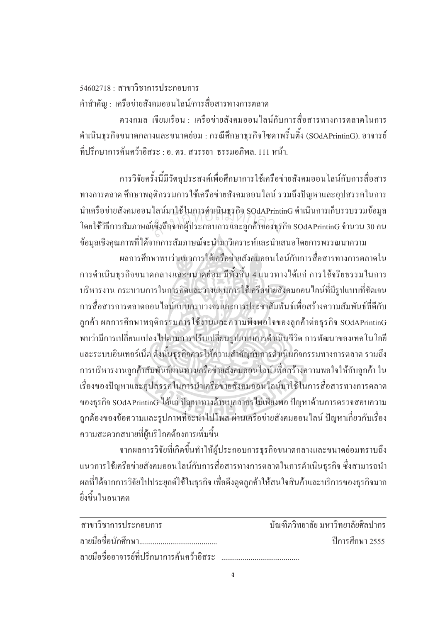## $54602718 \cdot \pi$ าขาวิชาการประกอบการ คำสำคัญ : เครือข่ายสังคมออนไลน์/การสื่อสารทางการตลาด ºÉ

ควงกมล เจียมเรือน : เครือข่ายสังคมออนใลน์กับการสื่อสารทางการตลาคในการ คำเนินธุรกิจขนาคกลางและขนาคย่อม : กรณีศึกษาธุรกิจโซคาพริ้นติ้ง (SOdAPrintinG). อาจารย์ ู้ที่ปรึกษาการค้บคว้าอิสระ · อ. ดร. สวรรยา ธรรมอกิพล. 111 หบ้า

การวิจัยครั้งนี้มีวัตถุประสงค์เพื่อศึกษาการใช้เครือข่ายสังคมออนไลน์กับการสื่อสาร ´Ê ºÉ ทางการตลาด ศึกษาพฤติกรรมการใช้เครือข่ายสังคมออนไลน์ รวมถึงปัญหาและอุปสรรคในการ นำเครือข่ายสังคมออนไลน์มาใช้ในการคำเนินธุรกิจ SOdAPrintinG คำเนินการเก็บรวบรวมข้อมูล โดยใช้วิธีการสัมภาษณ์เชิงลึกจากผู้ประกอบการและลูกค้าของธุรกิจ SOdAPrintinG จำนวน 30 คน ข้อมูลเชิงคุณภาพที่ได้จากการสัมภาษณ์จะนำมาวิเคราะห์และนำเสนอโดยการพรรณนาความ ี เลนมาเชเนการคาเนนธุรกจ SOdAPrinti<br>แชิงลึกจากผู้ประกอบการและลูกค้าของธุร

ผลการศึกษาพบว่าแนวการใช้เครือข่ายสังคมออนใลน์กับการสื่อสารทางการตลาดใน การคำเนินธุรกิจขนาคกลางและขนาคย่อม มีทั้งสิ้น 4 แนวทางได้แก่ การใช้จริยธรรมในการ บริหารงาน กระบวนการในการคิดและวางแผนการใช้เครือข่ายสังคมออนไลน์ที่มีรูปแบบที่ชัดเจน การสื่อสารการตลาดออนใลน์แบบครบวงจรและการประชาสัมพันธ์เพื่อสร้างความสัมพันธ์ที่ดีกับ l<br> ิลูกค้า ผลการศึกษาพฤติกรรมการใช้งานและความพึงพอใจของลูกค้าต่อธุรกิจ SOdAPrintinG พบว่ามีการเปลี่ยนแปลงใปตามการปรับเปลี่ยนรูปแบบการดำเนินชีวิต การพัฒนาของเทคโนโลยี และระบบอินเทอร์เน็ต ดังนั้นธุรกิจควรให้ความสำคัญกับการดำเนินกิจกรรมทางการตลาด รวมถึง ´Ê การบริหารงานลูกค้าสัมพันธ์ผ่านทางเครือข่ายสังคมออนใลน์ เพื่อสร้างความพอใจให้กับลูกค้า ใน ºÉ เรื่องของปัญหาและอุปสรรคในการนำเครือข่ายสังคมออนไลน์มาใช้ในการสื่อสารทางการตลาด ของธุรกิจ SOdAPrintinG ได้แก่ ปัญหาทางด้านบุคลากรไม่เพียงพอ ปัญหาด้านการตรวจสอบความ ถูกต้องของข้อความและรูปภาพที่จะนำไปโพส ผ่านเครือข่ายสังคมออนไลน์ ปัญหาเกี่ยวกับเรื่อง ºÉ ความสะดวกสบายที่ผู้บริโภคด้องการเพิ่มขึ้น ·É

จากผลการวิจัยที่เกิดขึ้นทำให้ผู้ประกอบการธุรกิจขนาดกลางและขนาดย่อมทราบถึง ∫ ¹Ê แนวการใช้เครือข่ายสังคมออนใลน์กับการสื่อสารทางการตลาดในการดำเนินธุรกิจ ซึ่งสามารถนำ ผลที่ได้จากการวิจัยไปประยุกต์ใช้ในธุรกิจ เพื่อดึงดูดลูกค้าให้สนใจสินค้าและบริการของธุรกิจมาก ºÉ ยิ่งขึ้นในอนาคต

| ิสาขาวิชาการประกอบการ                      | ำโณฑิตวิทยาลัย มหาวิทยาลัยศิลปากร |
|--------------------------------------------|-----------------------------------|
|                                            | ์ ปีการศึกษา 2555                 |
| ิลายมือชื่ออาจารย์ที่ปรึกษาการค้นคว้าอิสระ |                                   |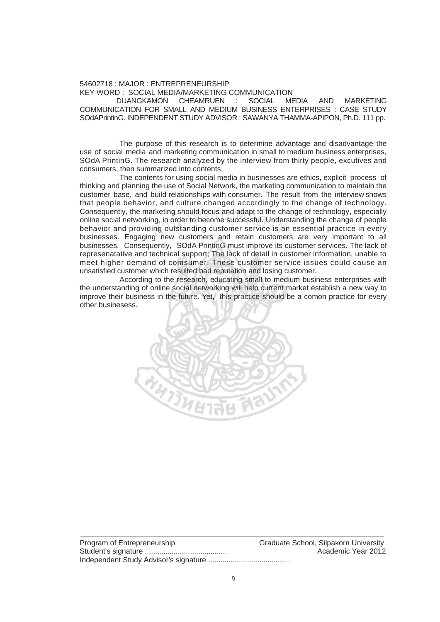## 54602718 : MAJOR : ENTREPRENEURSHIP KEY WORD : SOCIAL MEDIA/MARKETING COMMUNICATION

DUANGKAMON CHEAMRUEN : SOCIAL MEDIA AND MARKETING COMMUNICATION FOR SMALL AND MEDIUM BUSINESS ENTERPRISES : CASE STUDY SOdAPrintinG. INDEPENDENT STUDY ADVISOR : SAWANYA THAMMA-APIPON, Ph.D. 111 pp.

 The purpose of this research is to determine advantage and disadvantage the use of social media and marketing communication in small to medium business enterprises, SOdA PrintinG. The research analyzed by the interview from thirty people, excutives and consumers, then summarized into contents

 The contents for using social media in businesses are ethics, explicit process of thinking and planning the use of Social Network, the marketing communication to maintain the customer base, and build relationships with consumer. The result from the interview shows that people behavior, and culture changed accordingly to the change of technology. Consequently, the marketing should focus and adapt to the change of technology, especially online social networking, in order to become successful. Understanding the change of people behavior and providing outstanding customer service is an essential practice in every businesses. Engaging new customers and retain customers are very important to all businesses. Consequently, SOdA PrintinG must improve its customer services. The lack of represenatative and technical support; The lack of detail in customer information, unable to meet higher demand of comsumer. These customer service issues could cause an unsatisfied customer which resulted bad reputation and losing customer. arketing should focus and adapt to the cl<br>ng, in order to become successful. Unde<br>ing outstanding customer service is a<br>เด อคพ. customers, and, retain, custom

 According to the research, educating small to medium business enterprises with the understanding of online social networking will help current market establish a new way to improve their business in the future. Yet, this practice should be a comon practice for every other businesess.



Program of Entrepreneurship Graduate School, Silpakorn University Student's signature ........................................ Academic Year 2012 Independent Study Advisor's signature ........................................